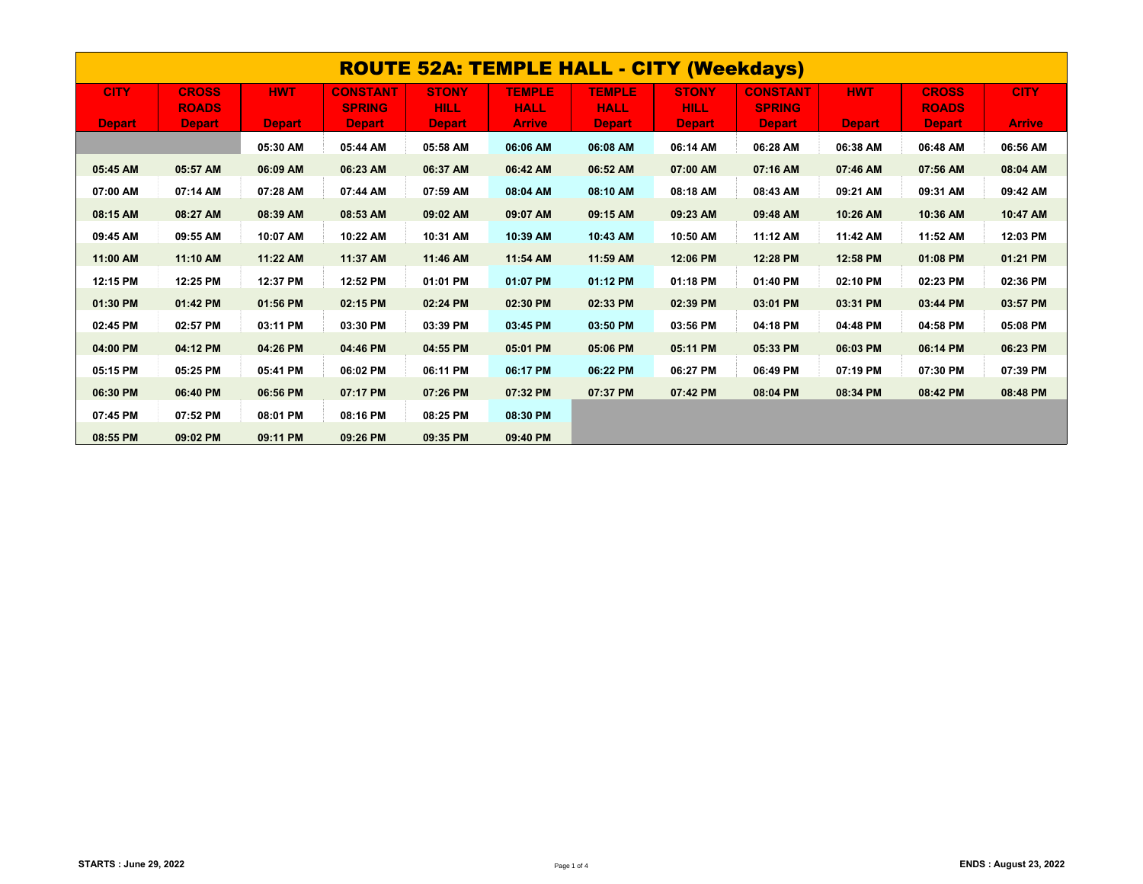| <b>ROUTE 52A: TEMPLE HALL - CITY (Weekdays)</b> |               |            |                 |              |               |               |               |                 |            |               |               |  |
|-------------------------------------------------|---------------|------------|-----------------|--------------|---------------|---------------|---------------|-----------------|------------|---------------|---------------|--|
| <b>CITY</b>                                     | <b>CROSS</b>  | <b>HWT</b> | <b>CONSTANT</b> | <b>STONY</b> | <b>TEMPLE</b> | <b>TEMPLE</b> | <b>STONY</b>  | <b>CONSTANT</b> | <b>HWT</b> | <b>CROSS</b>  | <b>CITY</b>   |  |
|                                                 | <b>ROADS</b>  |            | <b>SPRING</b>   | <b>HILL</b>  | <b>HALL</b>   | <b>HALL</b>   | <b>HILL</b>   | <b>SPRING</b>   |            | <b>ROADS</b>  |               |  |
| <b>Depart</b>                                   | <b>Depart</b> | Depart     | <b>Depart</b>   | Depart,      | <b>Arrive</b> | <b>Depart</b> | <b>Depart</b> | Depart,         | Depart,    | <b>Depart</b> | <b>Arrive</b> |  |
|                                                 |               | 05:30 AM   | 05:44 AM        | 05:58 AM     | 06:06 AM      | 06:08 AM      | 06:14 AM      | 06:28 AM        | 06:38 AM   | 06:48 AM      | 06:56 AM      |  |
| 05:45 AM                                        | 05:57 AM      | 06:09 AM   | 06:23 AM        | 06:37 AM     | 06:42 AM      | 06:52 AM      | 07:00 AM      | 07:16 AM        | 07:46 AM   | 07:56 AM      | 08:04 AM      |  |
| 07:00 AM                                        | 07:14 AM      | 07:28 AM   | 07:44 AM        | 07:59 AM     | 08:04 AM      | 08:10 AM      | 08:18 AM      | 08:43 AM        | 09:21 AM   | 09:31 AM      | 09:42 AM      |  |
| 08:15 AM                                        | 08:27 AM      | 08:39 AM   | 08:53 AM        | 09:02 AM     | 09:07 AM      | 09:15 AM      | 09:23 AM      | 09:48 AM        | 10:26 AM   | 10:36 AM      | 10:47 AM      |  |
| 09:45 AM                                        | 09:55 AM      | 10:07 AM   | 10:22 AM        | 10:31 AM     | 10:39 AM      | 10:43 AM      | 10:50 AM      | 11:12 AM        | 11:42 AM   | 11:52 AM      | 12:03 PM      |  |
| 11:00 AM                                        | 11:10 AM      | 11:22 AM   | 11:37 AM        | 11:46 AM     | 11:54 AM      | 11:59 AM      | 12:06 PM      | 12:28 PM        | 12:58 PM   | 01:08 PM      | 01:21 PM      |  |
| 12:15 PM                                        | 12:25 PM      | 12:37 PM   | 12:52 PM        | 01:01 PM     | 01:07 PM      | 01:12 PM      | 01:18 PM      | 01:40 PM        | 02:10 PM   | 02:23 PM      | 02:36 PM      |  |
| 01:30 PM                                        | 01:42 PM      | 01:56 PM   | 02:15 PM        | 02:24 PM     | 02:30 PM      | 02:33 PM      | 02:39 PM      | 03:01 PM        | 03:31 PM   | 03:44 PM      | 03:57 PM      |  |
| 02:45 PM                                        | 02:57 PM      | 03:11 PM   | 03:30 PM        | 03:39 PM     | 03:45 PM      | 03:50 PM      | 03:56 PM      | 04:18 PM        | 04:48 PM   | 04:58 PM      | 05:08 PM      |  |
| 04:00 PM                                        | 04:12 PM      | 04:26 PM   | 04:46 PM        | 04:55 PM     | 05:01 PM      | 05:06 PM      | 05:11 PM      | 05:33 PM        | 06:03 PM   | 06:14 PM      | 06:23 PM      |  |
| 05:15 PM                                        | 05:25 PM      | 05:41 PM   | 06:02 PM        | 06:11 PM     | 06:17 PM      | 06:22 PM      | 06:27 PM      | 06:49 PM        | 07:19 PM   | 07:30 PM      | 07:39 PM      |  |
| 06:30 PM                                        | 06:40 PM      | 06:56 PM   | 07:17 PM        | 07:26 PM     | 07:32 PM      | 07:37 PM      | 07:42 PM      | 08:04 PM        | 08:34 PM   | 08:42 PM      | 08:48 PM      |  |
| 07:45 PM                                        | 07:52 PM      | 08:01 PM   | 08:16 PM        | 08:25 PM     | 08:30 PM      |               |               |                 |            |               |               |  |
| 08:55 PM                                        | 09:02 PM      | 09:11 PM   | 09:26 PM        | 09:35 PM     | 09:40 PM      |               |               |                 |            |               |               |  |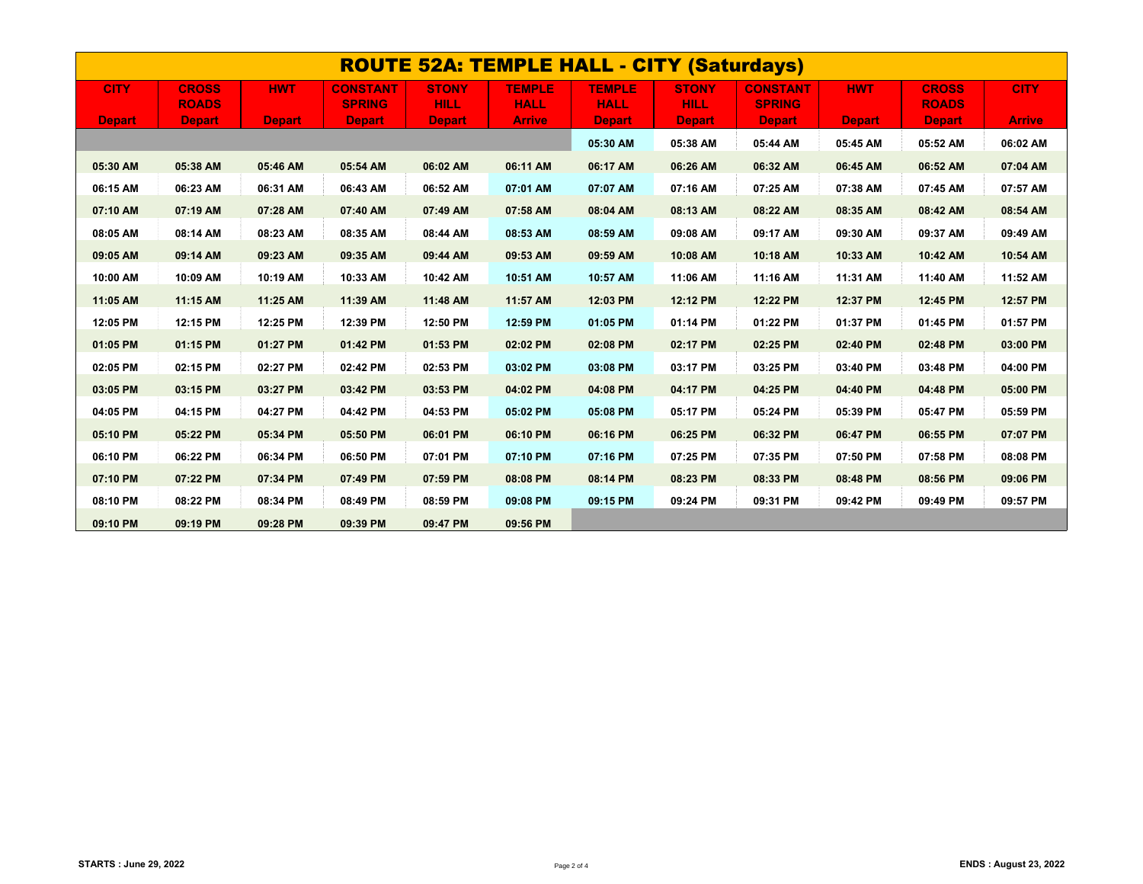| <b>ROUTE 52A: TEMPLE HALL - CITY (Saturdays)</b> |                              |               |                                  |                             |                              |                              |                             |                                  |               |                              |               |
|--------------------------------------------------|------------------------------|---------------|----------------------------------|-----------------------------|------------------------------|------------------------------|-----------------------------|----------------------------------|---------------|------------------------------|---------------|
| <b>CITY</b>                                      | <b>CROSS</b><br><b>ROADS</b> | <b>HWT</b>    | <b>CONSTANT</b><br><b>SPRING</b> | <b>STONY</b><br><b>HILL</b> | <b>TEMPLE</b><br><b>HALL</b> | <b>TEMPLE</b><br><b>HALL</b> | <b>STONY</b><br><b>HILL</b> | <b>CONSTANT</b><br><b>SPRING</b> | <b>HWT</b>    | <b>CROSS</b><br><b>ROADS</b> | <b>CITY</b>   |
| <b>Depart</b>                                    | <b>Depart</b>                | <b>Depart</b> | <b>Depart</b>                    | <b>Depart</b>               | <b>Arrive</b>                | <b>Depart</b>                | <b>Depart</b>               | <b>Depart</b>                    | <b>Depart</b> | <b>Depart</b>                | <b>Arrive</b> |
|                                                  |                              |               |                                  |                             |                              | 05:30 AM                     | 05:38 AM                    | 05:44 AM                         | 05:45 AM      | 05:52 AM                     | 06:02 AM      |
| 05:30 AM                                         | 05:38 AM                     | 05:46 AM      | 05:54 AM                         | 06:02 AM                    | 06:11 AM                     | 06:17 AM                     | 06:26 AM                    | 06:32 AM                         | 06:45 AM      | 06:52 AM                     | 07:04 AM      |
| 06:15 AM                                         | 06:23 AM                     | 06:31 AM      | 06:43 AM                         | 06:52 AM                    | 07:01 AM                     | 07:07 AM                     | 07:16 AM                    | 07:25 AM                         | 07:38 AM      | 07:45 AM                     | 07:57 AM      |
| 07:10 AM                                         | 07:19 AM                     | 07:28 AM      | 07:40 AM                         | 07:49 AM                    | 07:58 AM                     | 08:04 AM                     | 08:13 AM                    | 08:22 AM                         | 08:35 AM      | 08:42 AM                     | 08:54 AM      |
| 08:05 AM                                         | 08:14 AM                     | 08:23 AM      | 08:35 AM                         | 08:44 AM                    | 08:53 AM                     | 08:59 AM                     | 09:08 AM                    | 09:17 AM                         | 09:30 AM      | 09:37 AM                     | 09:49 AM      |
| 09:05 AM                                         | 09:14 AM                     | 09:23 AM      | 09:35 AM                         | 09:44 AM                    | 09:53 AM                     | 09:59 AM                     | 10:08 AM                    | 10:18 AM                         | 10:33 AM      | 10:42 AM                     | 10:54 AM      |
| 10:00 AM                                         | 10:09 AM                     | 10:19 AM      | 10:33 AM                         | 10:42 AM                    | 10:51 AM                     | 10:57 AM                     | 11:06 AM                    | 11:16 AM                         | 11:31 AM      | 11:40 AM                     | 11:52 AM      |
| 11:05 AM                                         | 11:15 AM                     | 11:25 AM      | 11:39 AM                         | 11:48 AM                    | 11:57 AM                     | 12:03 PM                     | 12:12 PM                    | 12:22 PM                         | 12:37 PM      | 12:45 PM                     | 12:57 PM      |
| 12:05 PM                                         | 12:15 PM                     | 12:25 PM      | 12:39 PM                         | 12:50 PM                    | 12:59 PM                     | 01:05 PM                     | 01:14 PM                    | 01:22 PM                         | 01:37 PM      | 01:45 PM                     | 01:57 PM      |
| 01:05 PM                                         | 01:15 PM                     | 01:27 PM      | 01:42 PM                         | 01:53 PM                    | 02:02 PM                     | 02:08 PM                     | 02:17 PM                    | 02:25 PM                         | 02:40 PM      | 02:48 PM                     | 03:00 PM      |
| 02:05 PM                                         | 02:15 PM                     | 02:27 PM      | 02:42 PM                         | 02:53 PM                    | 03:02 PM                     | 03:08 PM                     | 03:17 PM                    | 03:25 PM                         | 03:40 PM      | 03:48 PM                     | 04:00 PM      |
| 03:05 PM                                         | 03:15 PM                     | 03:27 PM      | 03:42 PM                         | 03:53 PM                    | 04:02 PM                     | 04:08 PM                     | 04:17 PM                    | 04:25 PM                         | 04:40 PM      | 04:48 PM                     | 05:00 PM      |
| 04:05 PM                                         | 04:15 PM                     | 04:27 PM      | 04:42 PM                         | 04:53 PM                    | 05:02 PM                     | 05:08 PM                     | 05:17 PM                    | 05:24 PM                         | 05:39 PM      | 05:47 PM                     | 05:59 PM      |
| 05:10 PM                                         | 05:22 PM                     | 05:34 PM      | 05:50 PM                         | 06:01 PM                    | 06:10 PM                     | 06:16 PM                     | 06:25 PM                    | 06:32 PM                         | 06:47 PM      | 06:55 PM                     | 07:07 PM      |
| 06:10 PM                                         | 06:22 PM                     | 06:34 PM      | 06:50 PM                         | 07:01 PM                    | 07:10 PM                     | 07:16 PM                     | 07:25 PM                    | 07:35 PM                         | 07:50 PM      | 07:58 PM                     | 08:08 PM      |
| 07:10 PM                                         | 07:22 PM                     | 07:34 PM      | 07:49 PM                         | 07:59 PM                    | 08:08 PM                     | 08:14 PM                     | 08:23 PM                    | 08:33 PM                         | 08:48 PM      | 08:56 PM                     | 09:06 PM      |
| 08:10 PM                                         | 08:22 PM                     | 08:34 PM      | 08:49 PM                         | 08:59 PM                    | 09:08 PM                     | 09:15 PM                     | 09:24 PM                    | 09:31 PM                         | 09:42 PM      | 09:49 PM                     | 09:57 PM      |
| 09:10 PM                                         | 09:19 PM                     | 09:28 PM      | 09:39 PM                         | 09:47 PM                    | 09:56 PM                     |                              |                             |                                  |               |                              |               |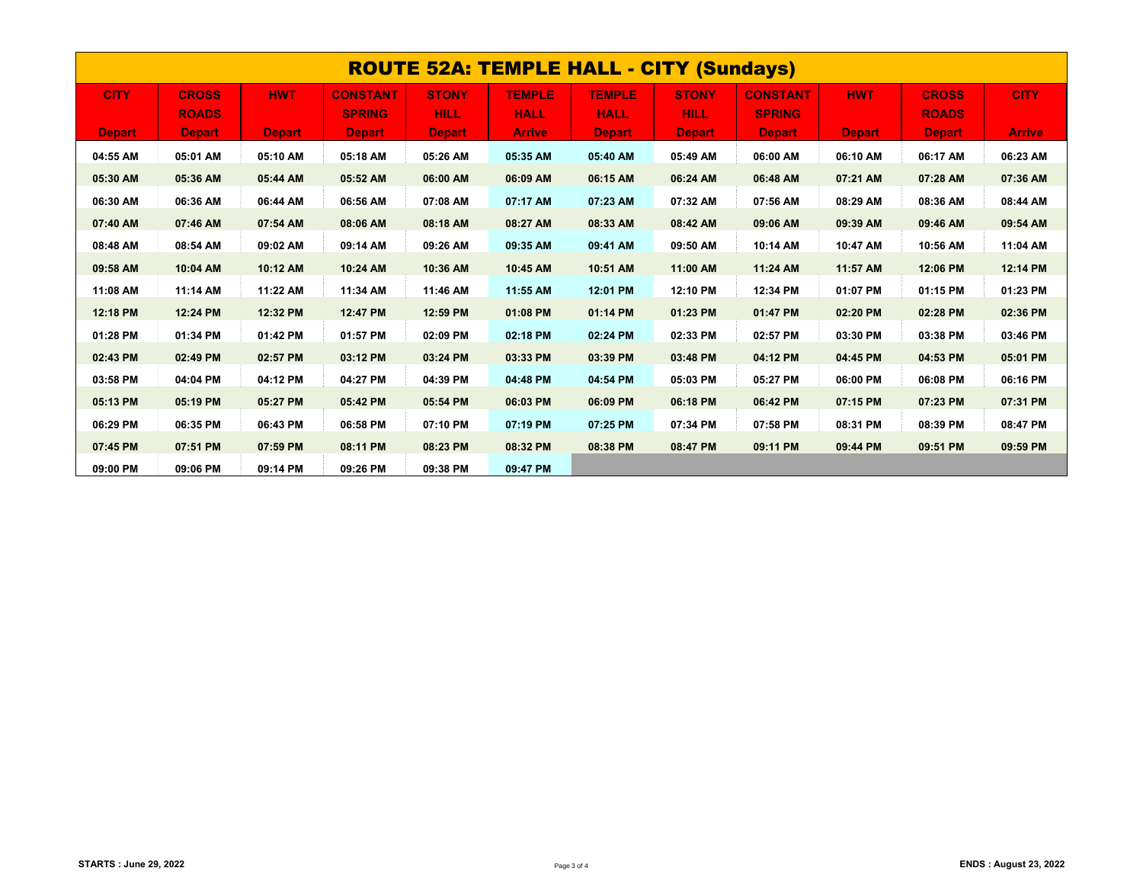| <b>ROUTE 52A: TEMPLE HALL - CITY (Sundays)</b> |               |               |                 |               |               |               |               |                 |               |               |               |  |
|------------------------------------------------|---------------|---------------|-----------------|---------------|---------------|---------------|---------------|-----------------|---------------|---------------|---------------|--|
| <b>CITY</b>                                    | <b>CROSS</b>  | <b>HWT</b>    | <b>CONSTANT</b> | <b>STONY</b>  | <b>TEMPLE</b> | <b>TEMPLE</b> | <b>STONY</b>  | <b>CONSTANT</b> | <b>HWT</b>    | <b>CROSS</b>  | <b>CITY</b>   |  |
|                                                | <b>ROADS</b>  |               | <b>SPRING</b>   | <b>HILL</b>   | <b>HALL</b>   | <b>HALL</b>   | <b>HILL</b>   | <b>SPRING</b>   |               | <b>ROADS</b>  |               |  |
| <b>Depart</b>                                  | <b>Depart</b> | <b>Depart</b> | <b>Depart</b>   | <b>Depart</b> | <b>Arrive</b> | <b>Depart</b> | <b>Depart</b> | <b>Depart</b>   | <b>Depart</b> | <b>Depart</b> | <b>Arrive</b> |  |
| 04:55 AM                                       | 05:01 AM      | 05:10 AM      | 05:18 AM        | 05:26 AM      | 05:35 AM      | 05:40 AM      | 05:49 AM      | 06:00 AM        | 06:10 AM      | 06:17 AM      | 06:23 AM      |  |
| 05:30 AM                                       | 05:36 AM      | 05:44 AM      | 05:52 AM        | 06:00 AM      | 06:09 AM      | 06:15 AM      | 06:24 AM      | 06:48 AM        | 07:21 AM      | 07:28 AM      | 07:36 AM      |  |
| 06:30 AM                                       | 06:36 AM      | 06:44 AM      | 06:56 AM        | 07:08 AM      | 07:17 AM      | 07:23 AM      | 07:32 AM      | 07:56 AM        | 08:29 AM      | 08:36 AM      | 08:44 AM      |  |
| 07:40 AM                                       | 07:46 AM      | 07:54 AM      | 08:06 AM        | 08:18 AM      | 08:27 AM      | 08:33 AM      | 08:42 AM      | 09:06 AM        | 09:39 AM      | 09:46 AM      | 09:54 AM      |  |
| 08:48 AM                                       | 08:54 AM      | 09:02 AM      | 09:14 AM        | 09:26 AM      | 09:35 AM      | 09:41 AM      | 09:50 AM      | 10:14 AM        | 10:47 AM      | 10:56 AM      | 11:04 AM      |  |
| 09:58 AM                                       | 10:04 AM      | 10:12 AM      | 10:24 AM        | 10:36 AM      | 10:45 AM      | 10:51 AM      | 11:00 AM      | 11:24 AM        | 11:57 AM      | 12:06 PM      | 12:14 PM      |  |
| 11:08 AM                                       | 11:14 AM      | 11:22 AM      | 11:34 AM        | 11:46 AM      | 11:55 AM      | 12:01 PM      | 12:10 PM      | 12:34 PM        | 01:07 PM      | 01:15 PM      | 01:23 PM      |  |
| 12:18 PM                                       | 12:24 PM      | 12:32 PM      | 12:47 PM        | 12:59 PM      | 01:08 PM      | 01:14 PM      | 01:23 PM      | 01:47 PM        | 02:20 PM      | 02:28 PM      | 02:36 PM      |  |
| 01:28 PM                                       | 01:34 PM      | 01:42 PM      | 01:57 PM        | 02:09 PM      | 02:18 PM      | 02:24 PM      | 02:33 PM      | 02:57 PM        | 03:30 PM      | 03:38 PM      | 03:46 PM      |  |
| 02:43 PM                                       | 02:49 PM      | 02:57 PM      | 03:12 PM        | 03:24 PM      | 03:33 PM      | 03:39 PM      | 03:48 PM      | 04:12 PM        | 04:45 PM      | 04:53 PM      | 05:01 PM      |  |
| 03:58 PM                                       | 04:04 PM      | 04:12 PM      | 04:27 PM        | 04:39 PM      | 04:48 PM      | 04:54 PM      | 05:03 PM      | 05:27 PM        | 06:00 PM      | 06:08 PM      | 06:16 PM      |  |
| 05:13 PM                                       | 05:19 PM      | 05:27 PM      | 05:42 PM        | 05:54 PM      | 06:03 PM      | 06:09 PM      | 06:18 PM      | 06:42 PM        | 07:15 PM      | 07:23 PM      | 07:31 PM      |  |
| 06:29 PM                                       | 06:35 PM      | 06:43 PM      | 06:58 PM        | 07:10 PM      | 07:19 PM      | 07:25 PM      | 07:34 PM      | 07:58 PM        | 08:31 PM      | 08:39 PM      | 08:47 PM      |  |
| 07:45 PM                                       | 07:51 PM      | 07:59 PM      | 08:11 PM        | 08:23 PM      | 08:32 PM      | 08:38 PM      | 08:47 PM      | 09:11 PM        | 09:44 PM      | 09:51 PM      | 09:59 PM      |  |
| 09:00 PM                                       | 09:06 PM      | 09:14 PM      | 09:26 PM        | 09:38 PM      | 09:47 PM      |               |               |                 |               |               |               |  |